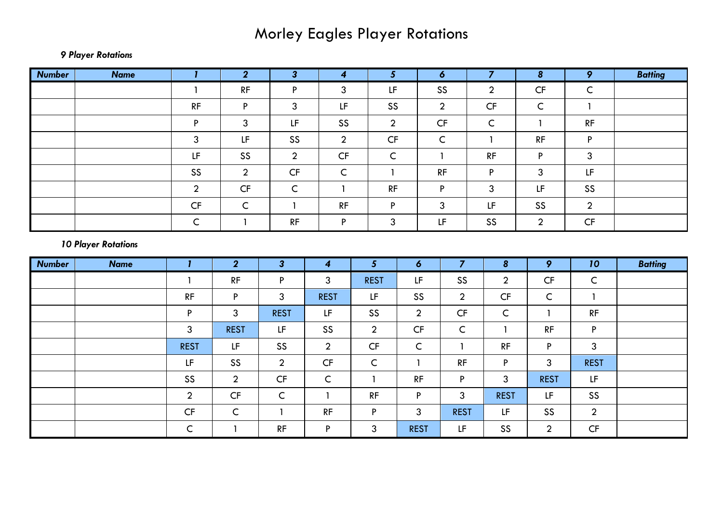## Morley Eagles Player Rotations

## *9 Player Rotations*

| <b>Number</b>              | <b>Name</b> | $\mathbf{I}$           | $\overline{2}$ | 3 <sup>1</sup>                                                                              | $\overline{\mathbf{4}}$ | 5 <sup>5</sup> |                  | $\boldsymbol{6}$                                                                            | $\overline{7}$   | $\boldsymbol{8}$ | 9                      | <b>Batting</b> |
|----------------------------|-------------|------------------------|----------------|---------------------------------------------------------------------------------------------|-------------------------|----------------|------------------|---------------------------------------------------------------------------------------------|------------------|------------------|------------------------|----------------|
|                            |             | $\mathbf{1}$           | RF             | P                                                                                           | 3                       | LF             |                  | SS                                                                                          | $\overline{2}$   | CF               | $\mathsf C$            |                |
|                            |             | RF                     | $\mathsf P$    | $\mathbf{3}$                                                                                | LF                      | SS             |                  | $\overline{2}$                                                                              | CF               | $\mathsf C$      | $\mathbf{1}$           |                |
|                            |             | P                      | $\mathfrak{Z}$ | $\mathsf{LF}% _{0}\left( \mathcal{N}\right) \equiv\mathsf{LF}_{0}\left( \mathcal{N}\right)$ | SS                      | $\overline{2}$ |                  | $\mathsf{C}\mathsf{F}$                                                                      | $\mathsf C$      | $\mathbf{1}$     | RF                     |                |
|                            |             | 3                      | LF             | SS                                                                                          | $\overline{2}$          | CF             |                  | $\mathsf C$                                                                                 | $\mathbf{1}$     | RF               | P                      |                |
|                            |             | LF                     | SS             | $\overline{2}$                                                                              | CF                      | $\mathsf{C}$   |                  | $\mathbf{1}$                                                                                | RF               | P                | $\mathbf{3}$           |                |
|                            |             | SS                     | $\overline{2}$ | $\mathsf{C}\mathsf{F}$                                                                      | $\mathsf C$             | $\mathbf{1}$   |                  | RF                                                                                          | P                | $\mathbf{3}$     | LF                     |                |
|                            |             | $\overline{2}$         | CF             | $\mathsf C$                                                                                 | $\mathbf{1}$            | RF             |                  | P                                                                                           | 3                | LF               | SS                     |                |
|                            |             | $\mathsf{C}\mathsf{F}$ | $\mathsf C$    | $\overline{1}$                                                                              | RF                      | P              |                  | $\overline{3}$                                                                              | LF               | SS               | $\overline{2}$         |                |
|                            |             | $\mathsf C$            | $\mathbf{1}$   | RF                                                                                          | P                       | $\mathbf{3}$   |                  | $\mathsf{LF}% _{0}\left( \mathcal{N}\right) \equiv\mathsf{LF}_{0}\left( \mathcal{N}\right)$ | SS               | $\overline{2}$   | $\mathsf{C}\mathsf{F}$ |                |
| <b>10 Player Rotations</b> |             |                        |                |                                                                                             |                         |                |                  |                                                                                             |                  |                  |                        |                |
| <b>Number</b>              | <b>Name</b> | $\mathbf{I}$           | $\overline{2}$ | $\overline{\mathbf{3}}$                                                                     | $\boldsymbol{4}$        | 5 <sup>5</sup> | $\boldsymbol{6}$ | $\overline{7}$                                                                              | $\boldsymbol{8}$ | 9                | 10                     | <b>Batting</b> |
|                            |             | 1                      | RF             | ${\sf P}$                                                                                   | $\mathbf{3}$            | <b>REST</b>    | LF               | SS                                                                                          | $\overline{2}$   | CF               | $\mathsf C$            |                |
|                            |             | RF                     | P              | $\mathfrak{S}$                                                                              | <b>REST</b>             | LF             | SS               | $\overline{2}$                                                                              | CF               | $\mathsf{C}$     | $\mathbf{1}$           |                |
|                            |             | P                      | $\overline{3}$ | <b>REST</b>                                                                                 | LF                      | SS             | $\overline{2}$   | $\mathsf{CF}$                                                                               | $\mathsf C$      | $\mathbf{1}$     | RF                     |                |
|                            |             | 3                      | <b>REST</b>    | LF                                                                                          | SS                      | $\overline{2}$ | CF               | $\mathsf C$                                                                                 | $\mathbf{1}$     | RF               | P                      |                |
|                            |             | <b>REST</b>            | LF             | SS                                                                                          | $\overline{2}$          | $\mathsf{CF}$  | $\mathsf C$      | $\mathbf{1}$                                                                                | RF               | P                | 3                      |                |
|                            |             | LF                     | SS             | $\overline{2}$                                                                              | $\sf CF$                | $\mathsf C$    | $\mathbf{1}$     | RF                                                                                          | P                | 3                | <b>REST</b>            |                |
|                            |             | SS                     | $\overline{2}$ | $\mathsf{C}\mathsf{F}$                                                                      | $\mathsf C$             | $\mathbf{1}$   | RF               | P                                                                                           | $\mathbf{3}$     | <b>REST</b>      | LF                     |                |
|                            |             | $\overline{2}$         | CF             | $\mathsf C$                                                                                 | $\mathbf{1}$            | RF             | P                | 3                                                                                           | <b>REST</b>      | LF.              | SS                     |                |
|                            |             | $\mathsf{C}\mathsf{F}$ | $\mathsf C$    | $\mathbf{1}$                                                                                | RF                      | P              | 3                | <b>REST</b>                                                                                 | LF               | SS               | $\overline{2}$         |                |
|                            |             | $\mathsf C$            | $\mathbf{1}$   | RF                                                                                          | P                       | 3              | <b>REST</b>      | LF.                                                                                         | SS               | $\overline{2}$   | CF                     |                |